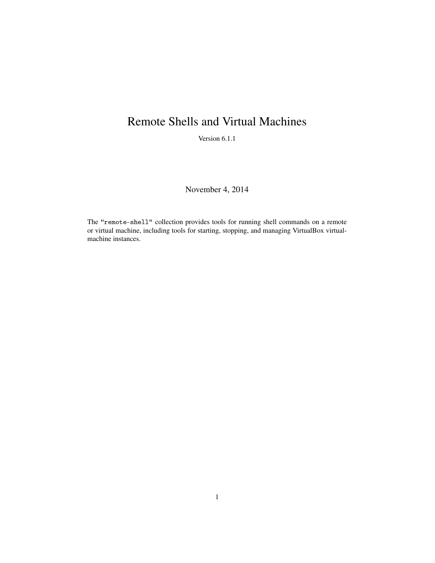## Remote Shells and Virtual Machines

Version 6.1.1

November 4, 2014

The "remote-shell" collection provides tools for running shell commands on a remote or virtual machine, including tools for starting, stopping, and managing VirtualBox virtualmachine instances.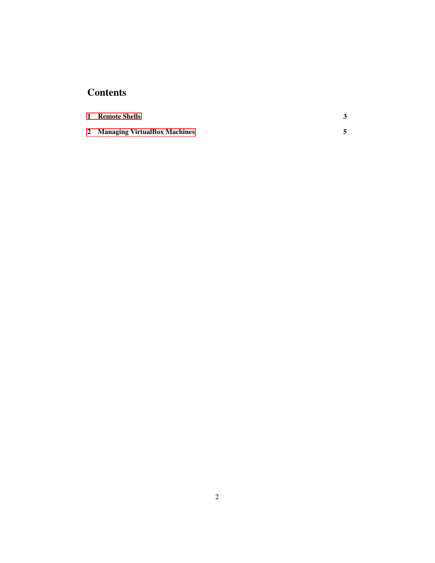## **Contents**

| 1 Remote Shells                |  |
|--------------------------------|--|
| 2 Managing VirtualBox Machines |  |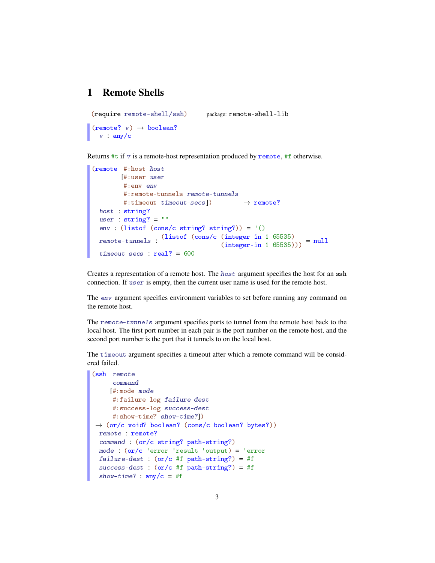## <span id="page-2-0"></span>1 Remote Shells

```
(require remote-shell/ssh) package: remote-shell-lib
(remote? v) \rightarrow boolean?v : any/c
```
Returns  $\#t$  if v is a remote-host representation produced by remote,  $\#f$  otherwise.

```
(remote #:host host
       [#:user user
        #:env env
        #:remote-tunnels remote-tunnels
        #:timeout timeout-secs]) \rightarrow remote?
 host : string?
 user : string? = ""
 env : (listof (cons/c string? string?)) = '()
  remote-tunnels :
(listof (cons/c (integer-in 1 65535)
                                   (integer-in 1 65535)))
                                                           = null
 timeout\text{-}secs: real? = 600
```
Creates a representation of a remote host. The host argument specifies the host for an ssh connection. If user is empty, then the current user name is used for the remote host.

The env argument specifies environment variables to set before running any command on the remote host.

The remote-tunnels argument specifies ports to tunnel from the remote host back to the local host. The first port number in each pair is the port number on the remote host, and the second port number is the port that it tunnels to on the local host.

The timeout argument specifies a timeout after which a remote command will be considered failed.

```
(ssh remote
     command
    [#:mode mode
     #:failure-log failure-dest
     #:success-log success-dest
     #:show-time? show-time?])
\rightarrow (or/c void? boolean? (cons/c boolean? bytes?))
 remote : remote?
 command : (or/c string? path-string?)
 mode : (or/c 'error 'result 'output) = 'error
 failure-dest : (or/c #f path-string?) = #f
 success-dest : (or/c #f path-string?) = #f
  show-time? : any/c = #f
```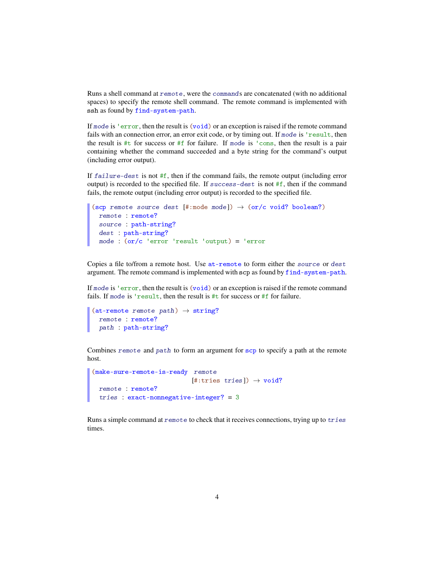Runs a shell command at remote, were the commands are concatenated (with no additional spaces) to specify the remote shell command. The remote command is implemented with ssh as found by find-system-path.

If mode is 'error, then the result is (void) or an exception is raised if the remote command fails with an connection error, an error exit code, or by timing out. If mode is 'result, then the result is  $\#t$  for success or  $\#f$  for failure. If mode is 'cons, then the result is a pair containing whether the command succeeded and a byte string for the command's output (including error output).

If  $f \text{a}$  i lure-dest is not  $\#\text{f}$ , then if the command fails, the remote output (including error output) is recorded to the specified file. If success-dest is not #f, then if the command fails, the remote output (including error output) is recorded to the specified file.

```
(scp remote source dest [#:mode mode]) \rightarrow (or/c void? boolean?)
 remote : remote?
 source : path-string?
 dest : path-string?
 mode : (or/c 'error 'result 'output) = 'error
```
Copies a file to/from a remote host. Use at-remote to form either the source or dest argument. The remote command is implemented with scp as found by find-system-path.

If mode is 'error, then the result is (void) or an exception is raised if the remote command fails. If mode is 'result, then the result is #t for success or #f for failure.

```
(at-remote remote path) \rightarrow string?
  remote : remote?
  path : path-string?
```
Combines remote and path to form an argument for scp to specify a path at the remote host.

```
(make-sure-remote-is-ready remote
                          [#:tries tries]) \rightarrow void?
 remote : remote?
 tries : exact-nonnegative-integer? = 3
```
Runs a simple command at remote to check that it receives connections, trying up to tries times.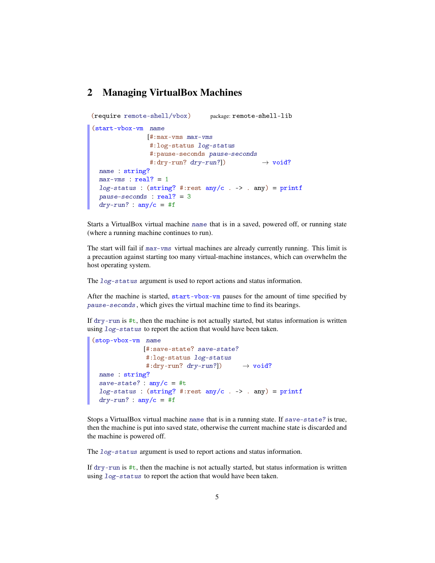## <span id="page-4-0"></span>2 Managing VirtualBox Machines

```
(require remote-shell/vbox) package: remote-shell-lib
(start-vbox-vm name
              [#:max-vms max-vms
               #:log-status log-status
               #:pause-seconds pause-seconds
               #:dry-run? dry-run?]) \rightarrow void?
 name : string?
 max-ums : real? = 1log-status : (string? #:rest any/c . -> . any) = printf
 pause-seconds : real? = 3
 dry-run? : any/c = #f
```
Starts a VirtualBox virtual machine name that is in a saved, powered off, or running state (where a running machine continues to run).

The start will fail if max-vms virtual machines are already currently running. This limit is a precaution against starting too many virtual-machine instances, which can overwhelm the host operating system.

The log-status argument is used to report actions and status information.

After the machine is started, start-vbox-vm pauses for the amount of time specified by pause-seconds, which gives the virtual machine time to find its bearings.

If  $\text{dry-run}$  is #t, then the machine is not actually started, but status information is written using log-status to report the action that would have been taken.

```
(stop-vbox-vm name
              [#:save-state? save-state?
              #:log-status log-status
               #:dry-run? dry-run?]) \rightarrow void?
 name : string?
 save-state? : any/c = #tlog-status: (string? #:rest any/c . -> . any) = printf
 \frac{dry-run?}{?} : any/c = #f
```
Stops a VirtualBox virtual machine name that is in a running state. If save-state? is true, then the machine is put into saved state, otherwise the current machine state is discarded and the machine is powered off.

The log-status argument is used to report actions and status information.

If  $\text{div } y$ -run is #t, then the machine is not actually started, but status information is written using log-status to report the action that would have been taken.